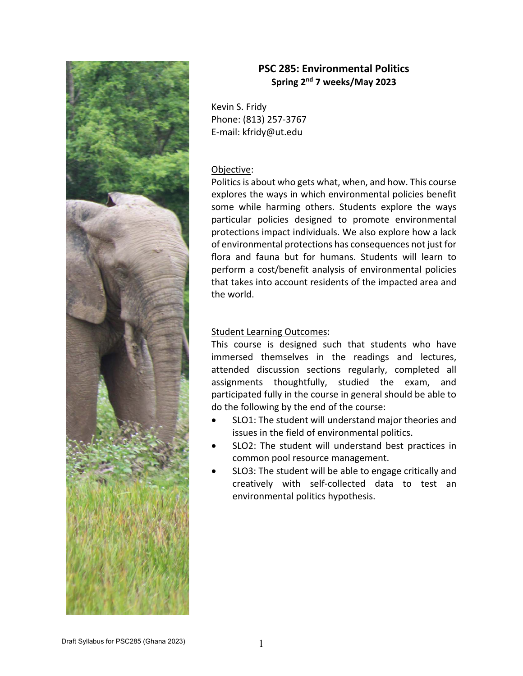

# **PSC 285: Environmental Politics Spring 2nd 7 weeks/May 2023**

Kevin S. Fridy Phone: (813) 257‐3767 E‐mail: kfridy@ut.edu

## Objective:

Politics is about who gets what, when, and how. This course explores the ways in which environmental policies benefit some while harming others. Students explore the ways particular policies designed to promote environmental protections impact individuals. We also explore how a lack of environmental protections has consequences not just for flora and fauna but for humans. Students will learn to perform a cost/benefit analysis of environmental policies that takes into account residents of the impacted area and the world.

## Student Learning Outcomes:

This course is designed such that students who have immersed themselves in the readings and lectures, attended discussion sections regularly, completed all assignments thoughtfully, studied the exam, and participated fully in the course in general should be able to do the following by the end of the course:

- SLO1: The student will understand major theories and issues in the field of environmental politics.
- SLO2: The student will understand best practices in common pool resource management.
- SLO3: The student will be able to engage critically and creatively with self‐collected data to test an environmental politics hypothesis.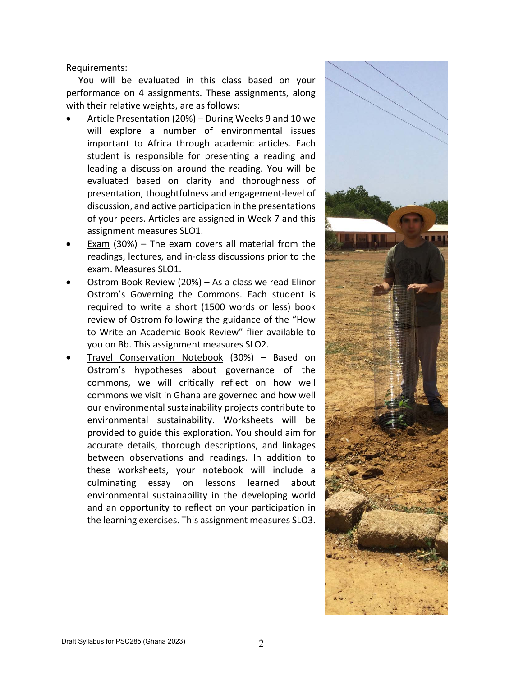## Requirements:

You will be evaluated in this class based on your performance on 4 assignments. These assignments, along with their relative weights, are as follows:

- Article Presentation (20%) During Weeks 9 and 10 we will explore a number of environmental issues important to Africa through academic articles. Each student is responsible for presenting a reading and leading a discussion around the reading. You will be evaluated based on clarity and thoroughness of presentation, thoughtfulness and engagement‐level of discussion, and active participation in the presentations of your peers. Articles are assigned in Week 7 and this assignment measures SLO1.
- Exam  $(30%)$  The exam covers all material from the readings, lectures, and in‐class discussions prior to the exam. Measures SLO1.
- Ostrom Book Review (20%) As a class we read Elinor Ostrom's Governing the Commons. Each student is required to write a short (1500 words or less) book review of Ostrom following the guidance of the "How to Write an Academic Book Review" flier available to you on Bb. This assignment measures SLO2.
- Travel Conservation Notebook (30%) Based on Ostrom's hypotheses about governance of the commons, we will critically reflect on how well commons we visit in Ghana are governed and how well our environmental sustainability projects contribute to environmental sustainability. Worksheets will be provided to guide this exploration. You should aim for accurate details, thorough descriptions, and linkages between observations and readings. In addition to these worksheets, your notebook will include a culminating essay on lessons learned about environmental sustainability in the developing world and an opportunity to reflect on your participation in the learning exercises. This assignment measures SLO3.

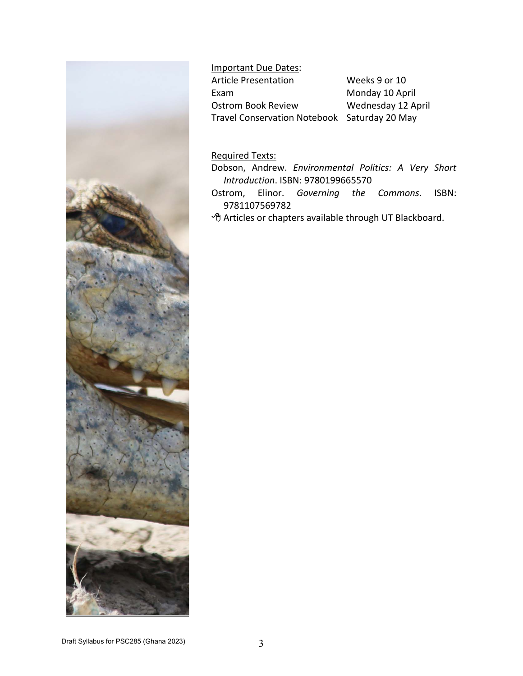

Important Due Dates: Article Presentation Weeks 9 or 10 Exam Monday 10 April Ostrom Book Review Wednesday 12 April Travel Conservation Notebook Saturday 20 May

Required Texts:

- Dobson, Andrew. *Environmental Politics: A Very Short Introduction*. ISBN: 9780199665570
- Ostrom, Elinor. *Governing the Commons*. ISBN: 9781107569782
- Articles or chapters available through UT Blackboard.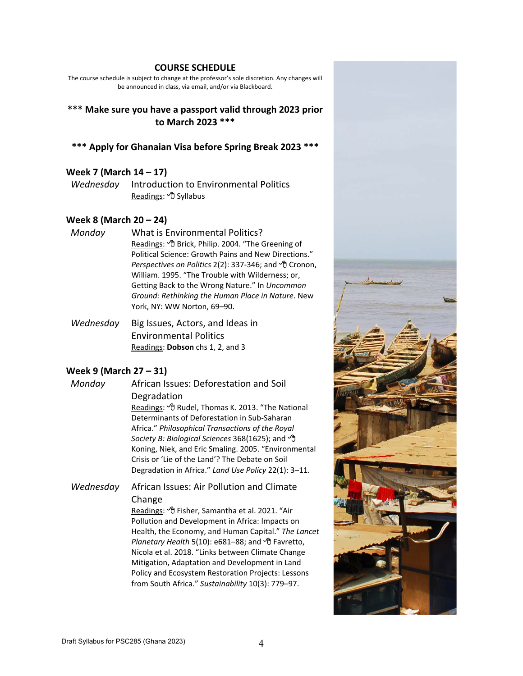#### **COURSE SCHEDULE**

The course schedule is subject to change at the professor's sole discretion. Any changes will be announced in class, via email, and/or via Blackboard.

## **\*\*\* Make sure you have a passport valid through 2023 prior to March 2023 \*\*\***

#### **\*\*\* Apply for Ghanaian Visa before Spring Break 2023 \*\*\***

#### **Week 7 (March 14 – 17)**

*Wednesday* Introduction to Environmental Politics Readings: *<sup>OD</sup>* Syllabus

### **Week 8 (March 20 – 24)**

- *Monday* What is Environmental Politics? Readings: <sup> $\Theta$ </sup> Brick, Philip. 2004. "The Greening of Political Science: Growth Pains and New Directions." *Perspectives on Politics* 2(2): 337-346; and <sup>*◆*</sup> Cronon, William. 1995. "The Trouble with Wilderness; or, Getting Back to the Wrong Nature." In *Uncommon Ground: Rethinking the Human Place in Nature*. New York, NY: WW Norton, 69–90.
- *Wednesday*  Big Issues, Actors, and Ideas in Environmental Politics Readings: **Dobson** chs 1, 2, and 3

#### **Week 9 (March 27 – 31)**

*Monday* African Issues: Deforestation and Soil Degradation

> Readings: <sup>*A*</sup> Rudel, Thomas K. 2013. "The National Determinants of Deforestation in Sub‐Saharan Africa." *Philosophical Transactions of the Royal Society B: Biological Sciences* 368(1625); and Koning, Niek, and Eric Smaling. 2005. "Environmental Crisis or 'Lie of the Land'? The Debate on Soil Degradation in Africa." *Land Use Policy* 22(1): 3–11.

*Wednesday*  African Issues: Air Pollution and Climate Change

> Readings: <sup>*A*</sup> Fisher, Samantha et al. 2021. "Air Pollution and Development in Africa: Impacts on Health, the Economy, and Human Capital." *The Lancet Planetary Health* 5(10): e681–88; and Favretto, Nicola et al. 2018. "Links between Climate Change Mitigation, Adaptation and Development in Land Policy and Ecosystem Restoration Projects: Lessons from South Africa." *Sustainability* 10(3): 779–97.

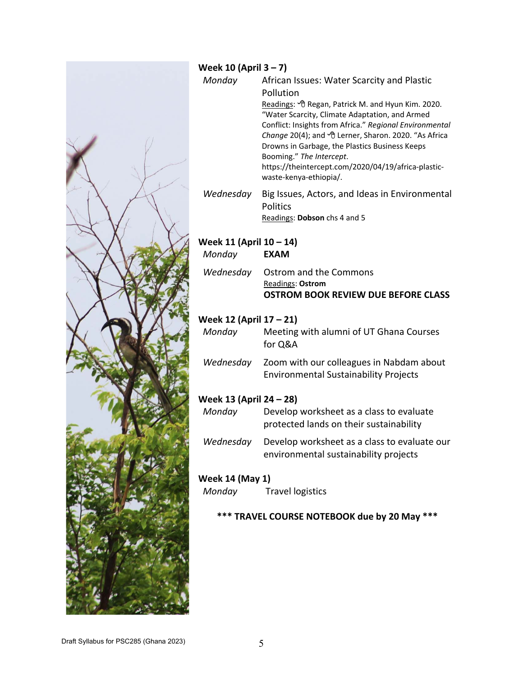

## **Week 10 (April 3 – 7)**

- *Monday*  African Issues: Water Scarcity and Plastic Pollution Readings: *<sup>®</sup>Regan, Patrick M. and Hyun Kim. 2020.* "Water Scarcity, Climate Adaptation, and Armed Conflict: Insights from Africa." *Regional Environmental Change* 20(4); and Lerner, Sharon. 2020. "As Africa Drowns in Garbage, the Plastics Business Keeps Booming." *The Intercept*. https://theintercept.com/2020/04/19/africa‐plastic‐ waste‐kenya‐ethiopia/.
- *Wednesday*  Big Issues, Actors, and Ideas in Environmental Politics Readings: **Dobson** chs 4 and 5

# **Week 11 (April 10 – 14)**

| Monday | <b>EXAM</b>                         |
|--------|-------------------------------------|
|        | Wednesday Ostrom and the Commons    |
|        | Readings: Ostrom                    |
|        | OSTROM BOOK REVIEW DUE BEFORE CLASS |

# **Week 12 (April 17 – 21)**

| Monday    | Meeting with alumni of UT Ghana Courses<br>for Q&A                                       |
|-----------|------------------------------------------------------------------------------------------|
| Wednesday | Zoom with our colleagues in Nabdam about<br><b>Environmental Sustainability Projects</b> |

# **Week 13 (April 24 – 28)**

| Monday    | Develop worksheet as a class to evaluate<br>protected lands on their sustainability   |
|-----------|---------------------------------------------------------------------------------------|
| Wednesday | Develop worksheet as a class to evaluate our<br>environmental sustainability projects |

# **Week 14 (May 1)**

*Monday* Travel logistics

# **\*\*\* TRAVEL COURSE NOTEBOOK due by 20 May \*\*\***